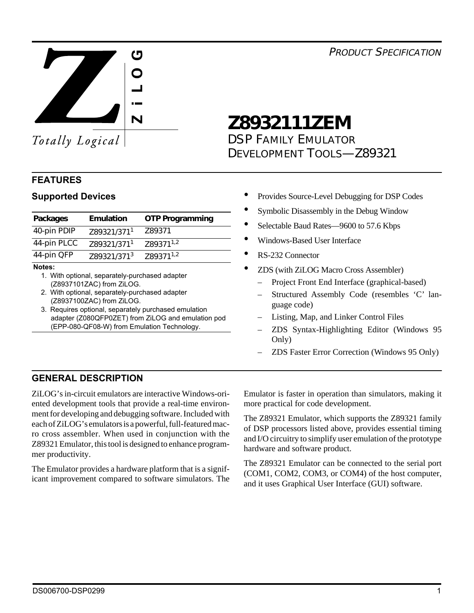*PRODUCT SPECIFICATION*



Totally Logical

# **Z8932111ZEM**

*DSP FAMILY EMULATOR DEVELOPMENT TOOLS—Z89321*

# **FEATURES**

| Packages    | <b>Emulation</b>        | <b>OTP Programming</b> |
|-------------|-------------------------|------------------------|
| 40-pin PDIP | Z89321/371 <sup>1</sup> | Z89371                 |
| 44-pin PLCC | Z89321/371 <sup>1</sup> | Z89371 <sup>1,2</sup>  |
| 44-pin QFP  | Z89321/3713             | Z89371 <sup>1,2</sup>  |

#### **Notes:**

- 1. With optional, separately-purchased adapter (Z8937101ZAC) from ZiLOG.
- 2. With optional, separately-purchased adapter (Z8937100ZAC) from ZiLOG.
- 3. Requires optional, separately purchased emulation adapter (Z080QFP0ZET) from ZiLOG and emulation pod (EPP-080-QF08-W) from Emulation Technology.
- **Supported Devices •** Provides Source-Level Debugging for DSP Codes
	- Symbolic Disassembly in the Debug Window
	- Selectable Baud Rates-9600 to 57.6 Kbps
	- Windows-Based User Interface
	- RS-232 Connector
	- ZDS (with ZiLOG Macro Cross Assembler)
		- Project Front End Interface (graphical-based)
		- Structured Assembly Code (resembles 'C' language code)
		- Listing, Map, and Linker Control Files
		- ZDS Syntax-Highlighting Editor (Windows 95 Only)
		- ZDS Faster Error Correction (Windows 95 Only)

# **GENERAL DESCRIPTION**

ZiLOG's in-circuit emulators are interactive Windows-oriented development tools that provide a real-time environment for developing and debugging software. Included with each of ZiLOG's emulators is a powerful, full-featured macro cross assembler. When used in conjunction with the Z89321 Emulator, this tool is designed to enhance programmer productivity.

The Emulator provides a hardware platform that is a significant improvement compared to software simulators. The Emulator is faster in operation than simulators, making it more practical for code development.

The Z89321 Emulator, which supports the Z89321 family of DSP processors listed above, provides essential timing and I/O circuitry to simplify user emulation of the prototype hardware and software product.

The Z89321 Emulator can be connected to the serial port (COM1, COM2, COM3, or COM4) of the host computer, and it uses Graphical User Interface (GUI) software.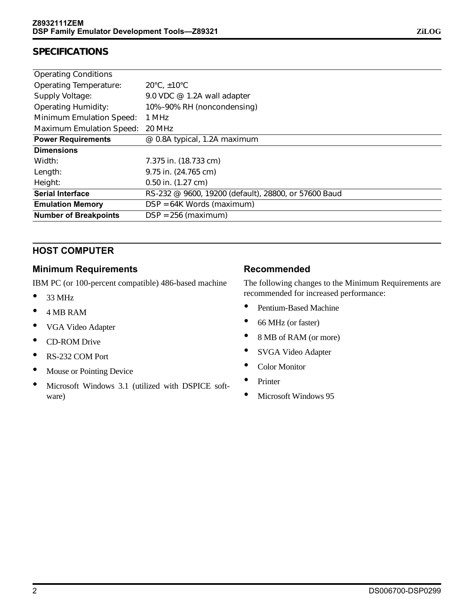### **SPECIFICATIONS**

| <b>Operating Conditions</b>     |                                                      |
|---------------------------------|------------------------------------------------------|
| <b>Operating Temperature:</b>   | $20^{\circ}$ C, $\pm 10^{\circ}$ C                   |
| Supply Voltage:                 | 9.0 VDC @ 1.2A wall adapter                          |
| <b>Operating Humidity:</b>      | 10%-90% RH (noncondensing)                           |
| <b>Minimum Emulation Speed:</b> | 1 MHz                                                |
| <b>Maximum Emulation Speed:</b> | 20 MHz                                               |
| <b>Power Requirements</b>       | @ 0.8A typical, 1.2A maximum                         |
| <b>Dimensions</b>               |                                                      |
| Width:                          | 7.375 in. (18.733 cm)                                |
| Length:                         | 9.75 in. (24.765 cm)                                 |
| Height:                         | $0.50$ in. $(1.27$ cm)                               |
| <b>Serial Interface</b>         | RS-232 @ 9600, 19200 (default), 28800, or 57600 Baud |
| <b>Emulation Memory</b>         | DSP = 64K Words (maximum)                            |
| <b>Number of Breakpoints</b>    | $DSP = 256$ (maximum)                                |

### **HOST COMPUTER**

#### **Minimum Requirements**

IBM PC (or 100-percent compatible) 486-based machine

- $•$  33 MHz
- 4 MB RAM
- VGA Video Adapter
- CD-ROM Drive
- RS-232 COM Port
- Mouse or Pointing Device
- Microsoft Windows 3.1 (utilized with DSPICE software)

#### **Recommended**

The following changes to the Minimum Requirements are recommended for increased performance:

- Pentium-Based Machine
- 66 MHz (or faster)
- 8 MB of RAM (or more)
- SVGA Video Adapter
- Color Monitor
- Printer
- Microsoft Windows 95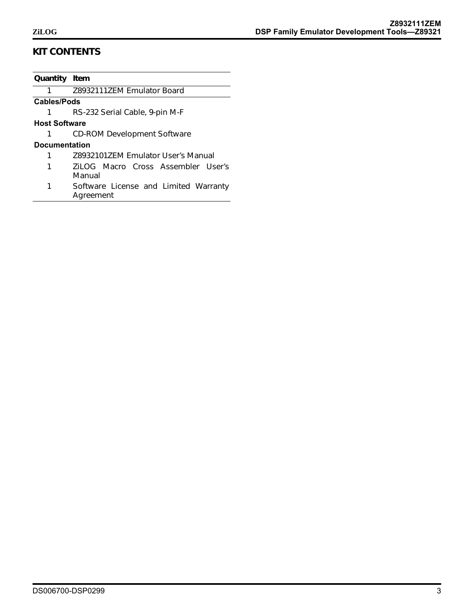## **KIT CONTENTS**

| Quantity Item        |                                       |
|----------------------|---------------------------------------|
| 1                    | Z8932111ZEM Emulator Board            |
| <b>Cables/Pods</b>   |                                       |
|                      | RS-232 Serial Cable, 9-pin M-F        |
| <b>Host Software</b> |                                       |
|                      | <b>CD-ROM Development Software</b>    |
| <b>Documentation</b> |                                       |
| 1                    | 789321017FM Emulator User's Manual    |
| 1                    | Zil OG Macro Cross Assembler User's   |
|                      | Manual                                |
|                      | Software License and Limited Warranty |

*1 Software License and Limited Warranty Agreement*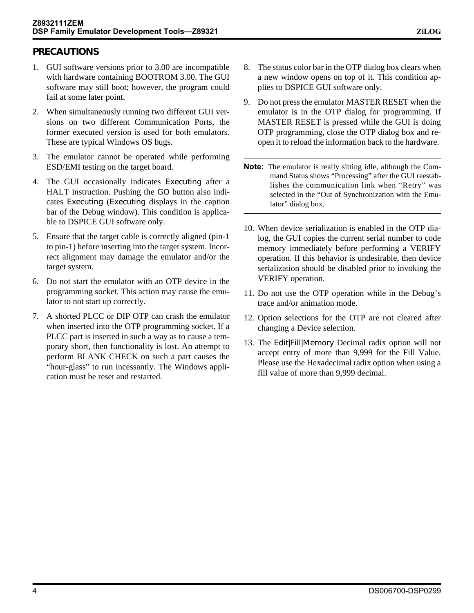### **PRECAUTIONS**

- 1. GUI software versions prior to 3.00 are incompatible with hardware containing BOOTROM 3.00. The GUI software may still boot; however, the program could fail at some later point.
- 2. When simultaneously running two different GUI versions on two different Communication Ports, the former executed version is used for both emulators. These are typical Windows OS bugs.
- 3. The emulator cannot be operated while performing ESD/EMI testing on the target board.
- 4. The GUI occasionally indicates *Executing* after a HALT instruction. Pushing the *GO* button also indicates *Executing* (*Executing* displays in the caption bar of the Debug window). This condition is applicable to DSPICE GUI software only.
- 5. Ensure that the target cable is correctly aligned (pin-1 to pin-1) before inserting into the target system. Incorrect alignment may damage the emulator and/or the target system.
- 6. Do not start the emulator with an OTP device in the programming socket. This action may cause the emulator to not start up correctly.
- 7. A shorted PLCC or DIP OTP can crash the emulator when inserted into the OTP programming socket. If a PLCC part is inserted in such a way as to cause a temporary short, then functionality is lost. An attempt to perform BLANK CHECK on such a part causes the "hour-glass" to run incessantly. The Windows application must be reset and restarted.
- 8. The status color bar in the OTP dialog box clears when a new window opens on top of it. This condition applies to DSPICE GUI software only.
- 9. Do not press the emulator MASTER RESET when the emulator is in the OTP dialog for programming. If MASTER RESET is pressed while the GUI is doing OTP programming, close the OTP dialog box and reopen it to reload the information back to the hardware.
- **Note:** The emulator is really sitting idle, although the Command Status shows "Processing" after the GUI reestablishes the communication link when "Retry" was selected in the "Out of Synchronization with the Emulator" dialog box.
- 10. When device serialization is enabled in the OTP dialog, the GUI copies the current serial number to code memory immediately before performing a VERIFY operation. If this behavior is undesirable, then device serialization should be disabled prior to invoking the VERIFY operation.
- 11. Do not use the OTP operation while in the Debug's trace and/or animation mode.
- 12. Option selections for the OTP are not cleared after changing a Device selection.
- 13. The *Edit|Fill|Memory* Decimal radix option will not accept entry of more than 9,999 for the Fill Value. Please use the Hexadecimal radix option when using a fill value of more than 9,999 decimal.